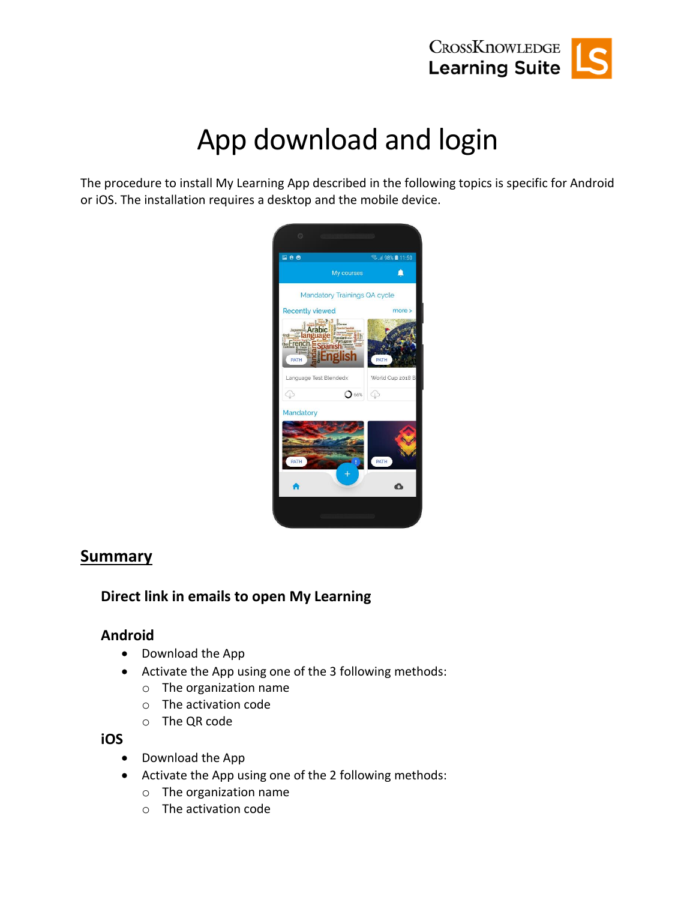

# App download and login

The procedure to install My Learning App described in the following topics is specific for Android or iOS. The installation requires a desktop and the mobile device.



#### **Summary**

#### **Direct link in emails to open My Learning**

#### **Android**

- Download the App
- Activate the App using one of the 3 following methods:
	- o The organization name
	- o The activation code
	- o The QR code

**iOS**

- Download the App
- Activate the App using one of the 2 following methods:
	- o The organization name
	- o The activation code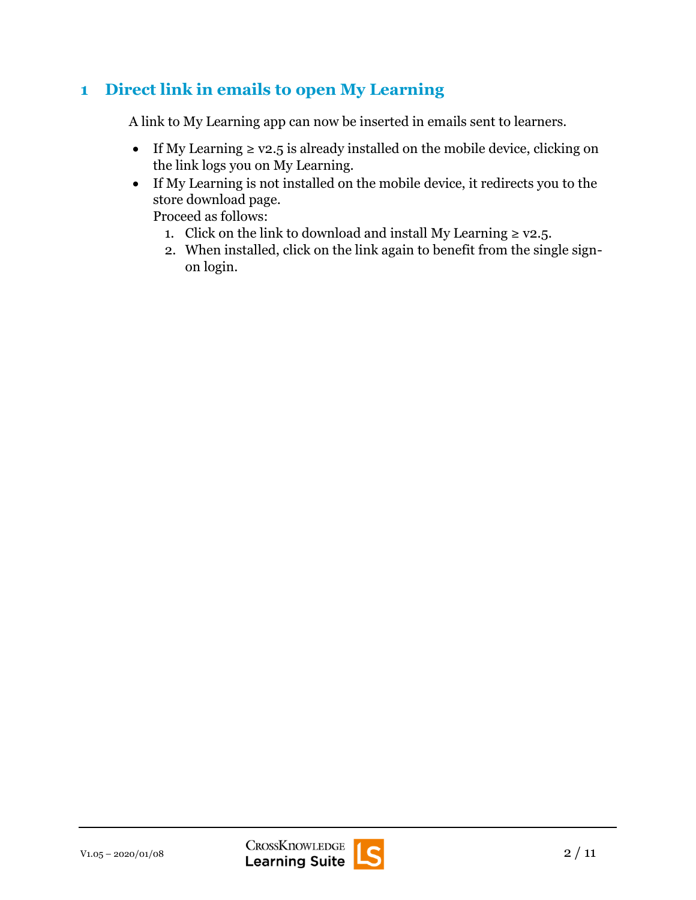## **1 Direct link in emails to open My Learning**

A link to My Learning app can now be inserted in emails sent to learners.

- If My Learning  $\geq$  v2.5 is already installed on the mobile device, clicking on the link logs you on My Learning.
- If My Learning is not installed on the mobile device, it redirects you to the store download page.

Proceed as follows:

- 1. Click on the link to download and install My Learning  $\geq$  v2.5.
- 2. When installed, click on the link again to benefit from the single signon login.

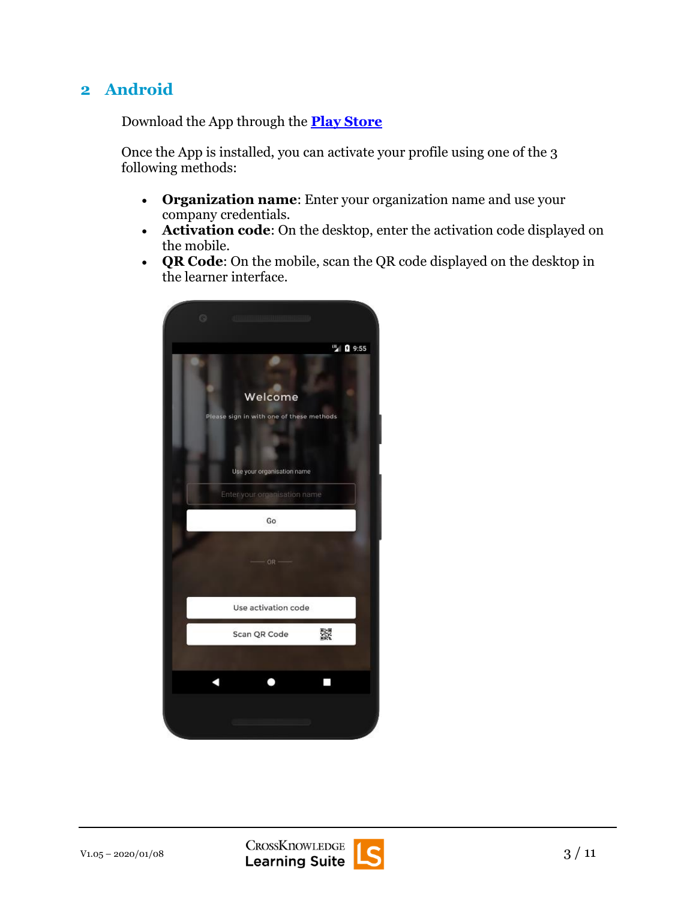## **2 Android**

Download the App through the **[Play Store](https://play.google.com/store/apps/details?id=com.crossknowledge.learnguided&hl=en)**

Once the App is installed, you can activate your profile using one of the 3 following methods:

- **Organization name**: Enter your organization name and use your company credentials.
- **Activation code**: On the desktop, enter the activation code displayed on the mobile.
- **QR Code**: On the mobile, scan the QR code displayed on the desktop in the learner interface.



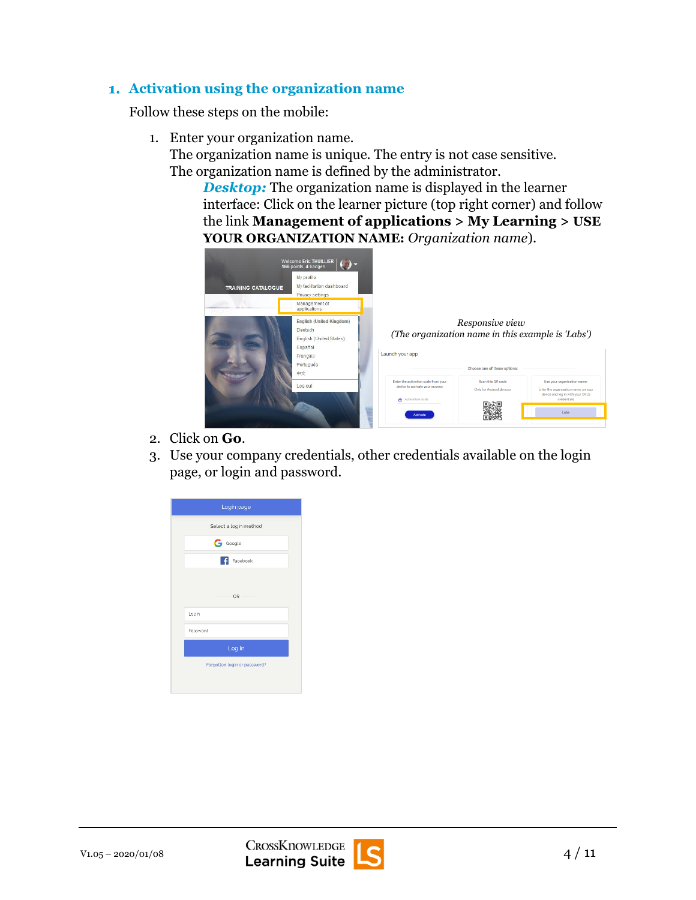#### **Activation using the organization name**

Follow these steps on the mobile:

- 1. Enter your organization name.
	- The organization name is unique. The entry is not case sensitive. The organization name is defined by the administrator.

*Desktop:* The organization name is displayed in the learner interface: Click on the learner picture (top right corner) and follow the link **Management of applications > My Learning > USE YOUR ORGANIZATION NAME:** *Organization name*).



- 2. Click on **Go**.
- 3. Use your company credentials, other credentials available on the login page, or login and password.



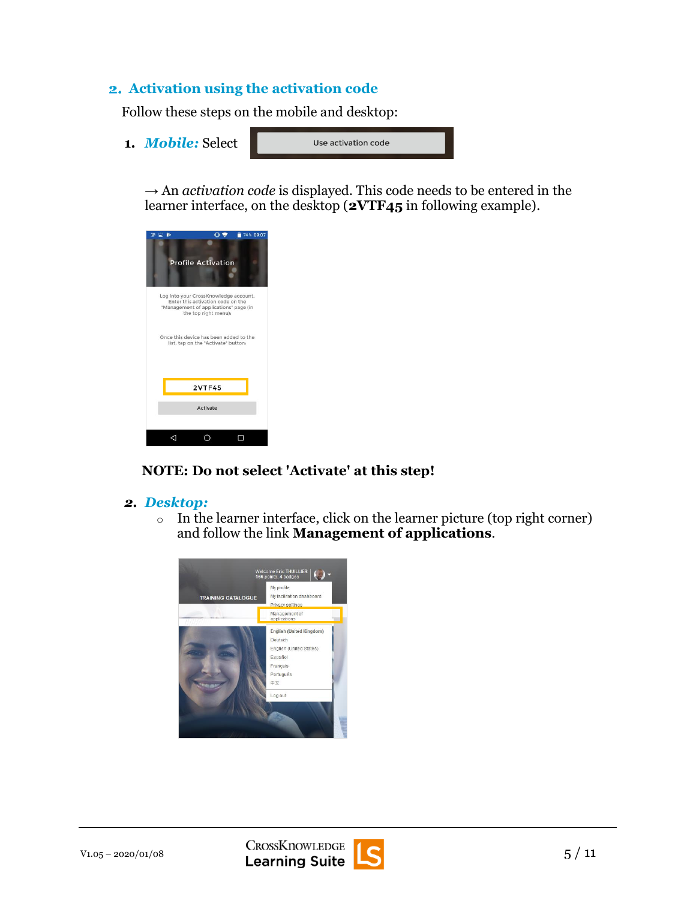#### **Activation using the activation code**

Follow these steps on the mobile and desktop:

**1.** *Mobile:* Select

Use activation code

 $\rightarrow$  An *activation code* is displayed. This code needs to be entered in the learner interface, on the desktop (**2VTF45** in following example).



#### **NOTE: Do not select 'Activate' at this step!**

- *2. Desktop:*
	- o In the learner interface, click on the learner picture (top right corner) and follow the link **Management of applications**.



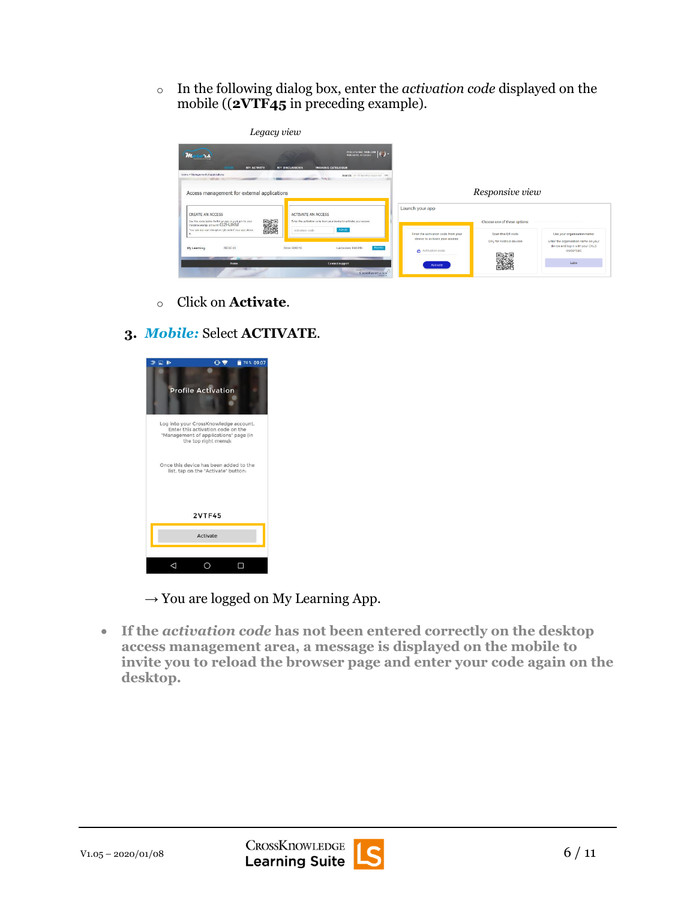o In the following dialog box, enter the *activation code* displayed on the mobile ((**2VTF45** in preceding example).

| Legacy view                                                                                                                                                                                                           |                                                                                                                                                                                |                                                                                                                |                                                                               |                                                                                                                       |
|-----------------------------------------------------------------------------------------------------------------------------------------------------------------------------------------------------------------------|--------------------------------------------------------------------------------------------------------------------------------------------------------------------------------|----------------------------------------------------------------------------------------------------------------|-------------------------------------------------------------------------------|-----------------------------------------------------------------------------------------------------------------------|
| m<br>$10^4$ $24$<br><b>Windows</b> and Great<br>MY ACTIVITY<br>Home > Management of applications<br><b>CONTACTOR</b><br>Access management for external applications                                                   | Writcome Enc THUILLIER   ( ) -<br><b>MY DISCUSSIONS</b><br><b>TRAINING CATALOGUE</b><br>Search: On all insming resources OK<br><b>Carlie: N.N.Y.</b>                           |                                                                                                                | Responsive view                                                               |                                                                                                                       |
| CREATE AN ACCESS<br><b>BASE</b><br>Use the code below to link an app or a plug-in to your<br>Crossknowindge account: G2HJRM<br>You can also scan the given QR code if your app alows<br>÷.<br>My Learning<br>RIDGE 4G | ACTIVATE AN ACCESS<br>finter the activation code from your device to activate your access:<br>Autriste<br>Activation code<br>Revoke<br>Lest access: 0802/18<br>Since: 08/02/18 | Launch your app<br>Enter the activation code from your<br>device to activate your access:<br>A Activation code | Choose one of these options:<br>Scan this OR code<br>Only for Android devices | Use your organisation name:<br>Enter the organisation name on your<br>device and log in with your CKLS<br>credentials |
| Home                                                                                                                                                                                                                  | Contact support<br><b>DOMMER</b><br>CROSKINOWEDGE<br>A Mins & you                                                                                                              | <b>Activate</b>                                                                                                |                                                                               | Labs                                                                                                                  |

- o Click on **Activate**.
- **3.** *Mobile:* Select **ACTIVATE**.



- $\rightarrow$  You are logged on My Learning App.
- **If the** *activation code* **has not been entered correctly on the desktop access management area, a message is displayed on the mobile to invite you to reload the browser page and enter your code again on the desktop.**

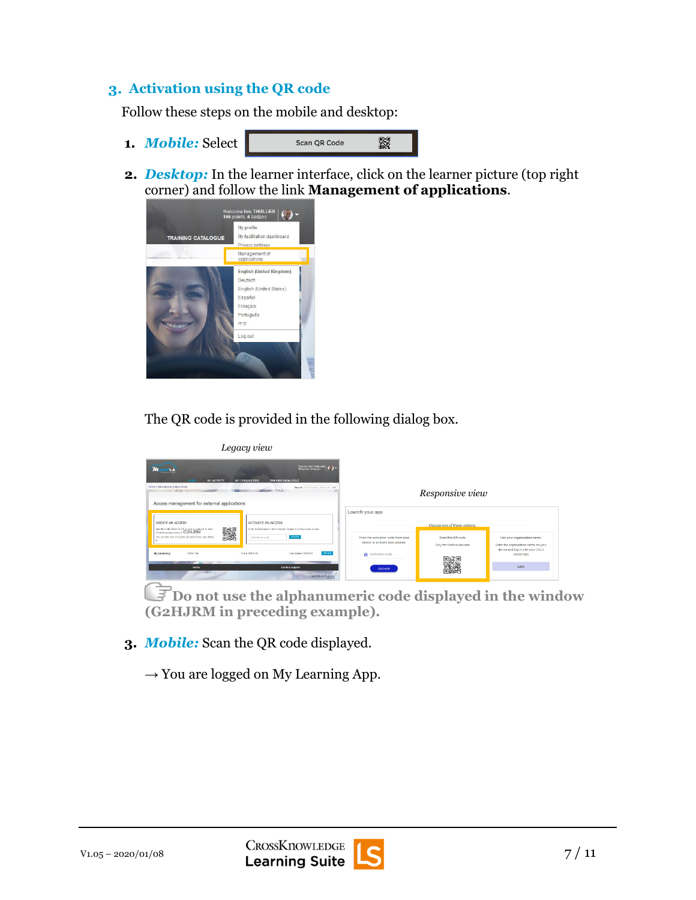### **Activation using the QR code**

Follow these steps on the mobile and desktop:

- **1.** *Mobile:* Select
- Scan QR Code 옰
- **2.** *Desktop:* In the learner interface, click on the learner picture (top right corner) and follow the link **Management of applications**.



The QR code is provided in the following dialog box.

| Legacy view                                                                                                                                                                                                                                                                                                                                                                                                                                                  |                                                                                                                                                                                                                                                                                                                                            |
|--------------------------------------------------------------------------------------------------------------------------------------------------------------------------------------------------------------------------------------------------------------------------------------------------------------------------------------------------------------------------------------------------------------------------------------------------------------|--------------------------------------------------------------------------------------------------------------------------------------------------------------------------------------------------------------------------------------------------------------------------------------------------------------------------------------------|
| Welcome Enc THULLER   ( ) -<br>166 points 4 badges<br><b>MY ACTIVITY</b><br>MY DISCUSSIONS<br><b>TRAINING CATALOGUE</b><br>Home · Management of applications<br>Search: On allowment recommen DNT<br><b>Million</b> Street<br><b>WEAR INC</b><br>Access management for external applications                                                                                                                                                                 | Responsive view                                                                                                                                                                                                                                                                                                                            |
| ACTIVATE AN ACCESS<br>CREATE AN ACCESS<br>麟<br>Use the code below to lok an app or a player to year.<br>Opselhowindos account: G2HJRM<br>Other the activation code from your dence to actuate your access.<br>You can also scan the given QR cade if your app allows<br>Adapte.<br>Activators code<br>Harrita<br>REDGE 6G<br>Soca DMOOL<br>Land means as \$5002/10.<br>My Learning<br>÷<br>Contact support<br><b>Home</b><br><b>Shridt</b> in<br>Cansknowing | Launch your app<br>Choose one of these options:<br>Enter the activation code from your<br>Scan this QR code<br>Use your organisation name:<br>device to activate your access:<br>Only for Android devices<br>Enter the organisation name on your<br>device and log in with your CKLS<br>Activation code<br>credentials<br>Labo<br>Activate |

**Do not use the alphanumeric code displayed in the window (G2HJRM in preceding example).**

**3.** *Mobile:* Scan the QR code displayed.

 $\rightarrow$  You are logged on My Learning App.

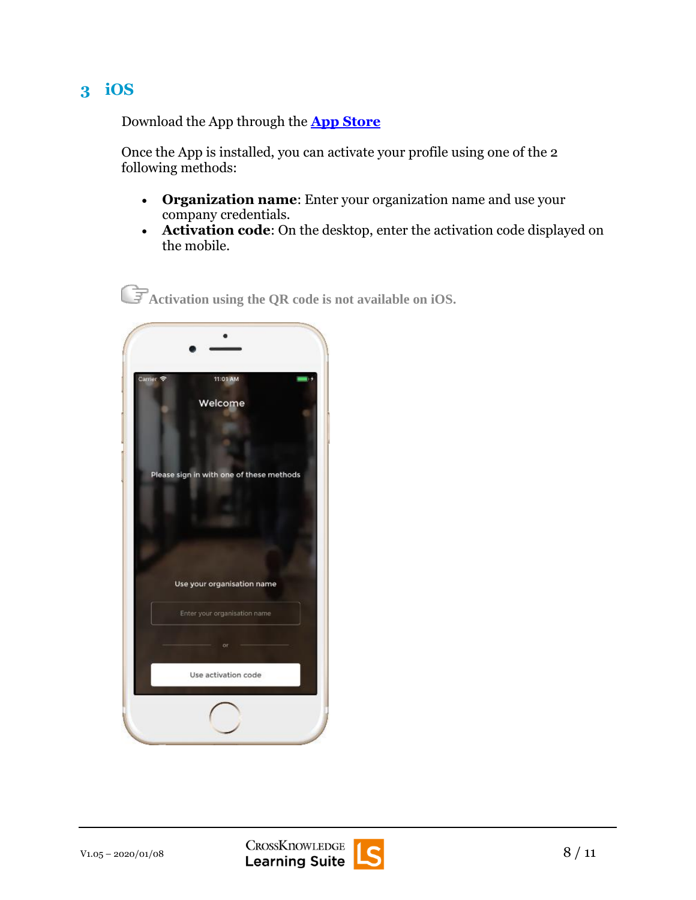## **3 iOS**

Download the App through the **[App Store](https://itunes.apple.com/us/app/my-learning-app/id1199035181?ls=1&mt=8)** 

Once the App is installed, you can activate your profile using one of the 2 following methods:

- **Organization name**: Enter your organization name and use your company credentials.
- **Activation code**: On the desktop, enter the activation code displayed on the mobile.

**Activation using the QR code is not available on iOS.**



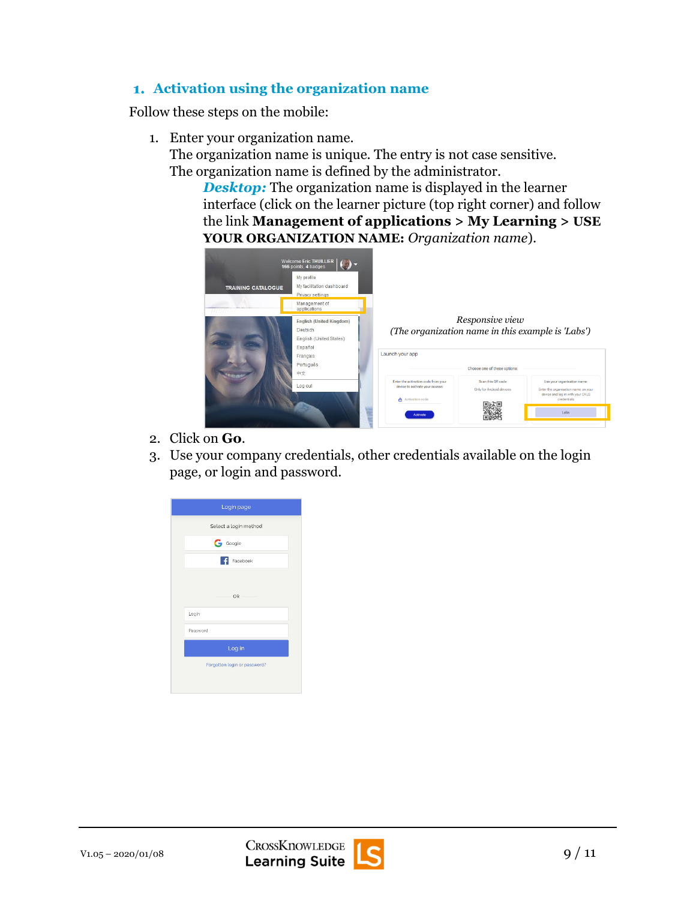#### **Activation using the organization name**

Follow these steps on the mobile:

- 1. Enter your organization name.
	- The organization name is unique. The entry is not case sensitive. The organization name is defined by the administrator.

*Desktop:* The organization name is displayed in the learner interface (click on the learner picture (top right corner) and follow the link **Management of applications > My Learning > USE YOUR ORGANIZATION NAME:** *Organization name*).



- 2. Click on **Go**.
- 3. Use your company credentials, other credentials available on the login page, or login and password.





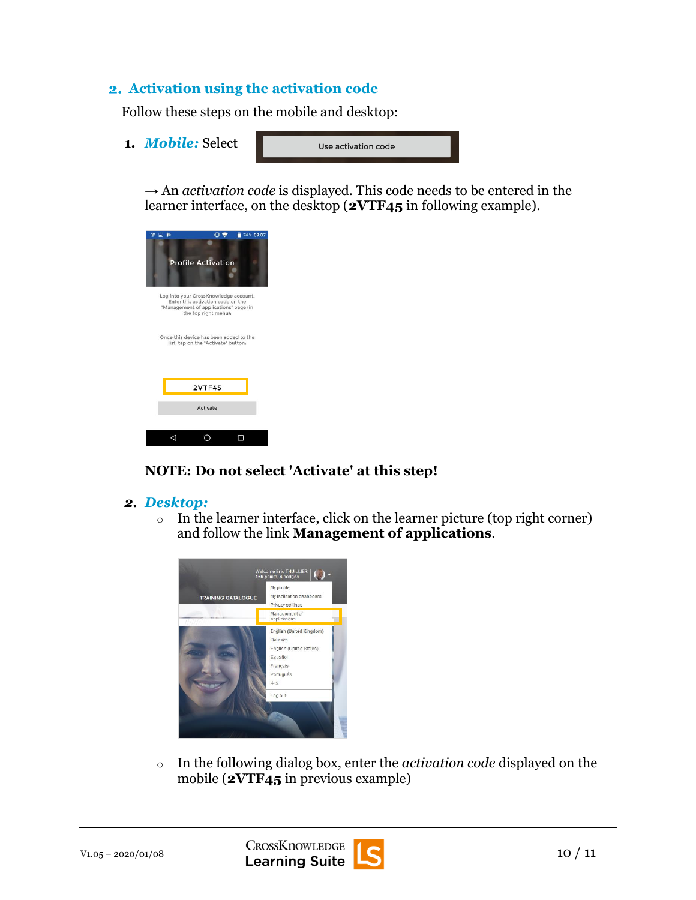#### **Activation using the activation code**

Follow these steps on the mobile and desktop:

**1.** *Mobile:* Select

Use activation code

 $\rightarrow$  An *activation code* is displayed. This code needs to be entered in the learner interface, on the desktop (**2VTF45** in following example).



#### **NOTE: Do not select 'Activate' at this step!**

- *2. Desktop:*
	- o In the learner interface, click on the learner picture (top right corner) and follow the link **Management of applications**.



o In the following dialog box, enter the *activation code* displayed on the mobile (**2VTF45** in previous example)